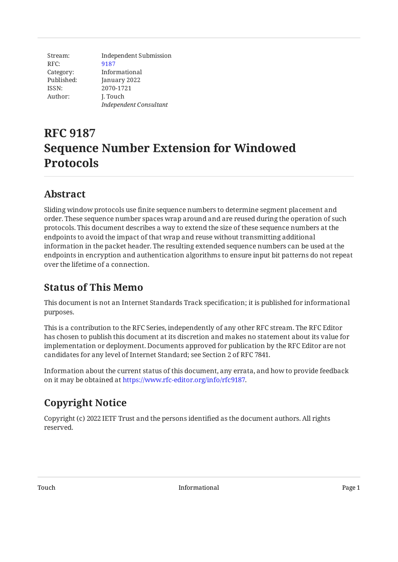Stream: RFC: Category: Published: ISSN: Author: Independent Submission [9187](https://www.rfc-editor.org/rfc/rfc9187) Informational January 2022 2070-1721 J. Touch *Independent Consultant*

# **RFC 9187 Sequence Number Extension for Windowed Protocols**

## <span id="page-0-0"></span>**[Abstract](#page-0-0)**

Sliding window protocols use finite sequence numbers to determine segment placement and order. These sequence number spaces wrap around and are reused during the operation of such protocols. This document describes a way to extend the size of these sequence numbers at the endpoints to avoid the impact of that wrap and reuse without transmitting additional information in the packet header. The resulting extended sequence numbers can be used at the endpoints in encryption and authentication algorithms to ensure input bit patterns do not repeat over the lifetime of a connection.

# <span id="page-0-1"></span>**[Status of This Memo](#page-0-1)**

This document is not an Internet Standards Track specification; it is published for informational purposes.

This is a contribution to the RFC Series, independently of any other RFC stream. The RFC Editor has chosen to publish this document at its discretion and makes no statement about its value for implementation or deployment. Documents approved for publication by the RFC Editor are not candidates for any level of Internet Standard; see Section 2 of RFC 7841.

Information about the current status of this document, any errata, and how to provide feedback on it may be obtained at [https://www.rfc-editor.org/info/rfc9187.](https://www.rfc-editor.org/info/rfc9187)

## <span id="page-0-2"></span>**[Copyright Notice](#page-0-2)**

Copyright (c) 2022 IETF Trust and the persons identified as the document authors. All rights reserved.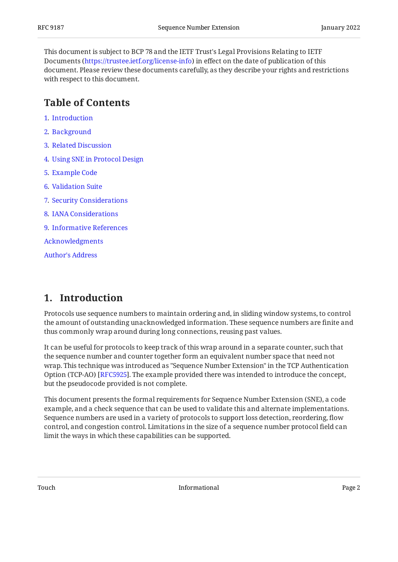This document is subject to BCP 78 and the IETF Trust's Legal Provisions Relating to IETF Documents (<https://trustee.ietf.org/license-info>) in effect on the date of publication of this document. Please review these documents carefully, as they describe your rights and restrictions with respect to this document.

#### <span id="page-1-0"></span>**[Table of Contents](#page-1-0)**

- [1](#page-1-1). [Introduction](#page-1-1)
- [2](#page-2-0). [Background](#page-2-0)
- [3](#page-4-0). [Related Discussion](#page-4-0)
- [4](#page-4-1). [Using SNE in Protocol Design](#page-4-1)
- [5](#page-5-0). [Example Code](#page-5-0)
- [6](#page-8-0). [Validation Suite](#page-8-0)
- [7](#page-8-1). [Security Considerations](#page-8-1)
- [8](#page-9-0). [IANA Considerations](#page-9-0)
- [9](#page-9-1). [Informative References](#page-9-1)

[Acknowledgments](#page-9-2)

[Author's Address](#page-9-3)

#### <span id="page-1-1"></span>**[1. Introduction](#page-1-1)**

Protocols use sequence numbers to maintain ordering and, in sliding window systems, to control the amount of outstanding unacknowledged information. These sequence numbers are finite and thus commonly wrap around during long connections, reusing past values.

It can be useful for protocols to keep track of this wrap around in a separate counter, such that the sequence number and counter together form an equivalent number space that need not wrap. This technique was introduced as "Sequence Number Extension" in the TCP Authentication Option (TCP-AO) [[RFC5925\]](#page-9-4). The example provided there was intended to introduce the concept, but the pseudocode provided is not complete.

This document presents the formal requirements for Sequence Number Extension (SNE), a code example, and a check sequence that can be used to validate this and alternate implementations. Sequence numbers are used in a variety of protocols to support loss detection, reordering, flow control, and congestion control. Limitations in the size of a sequence number protocol field can limit the ways in which these capabilities can be supported.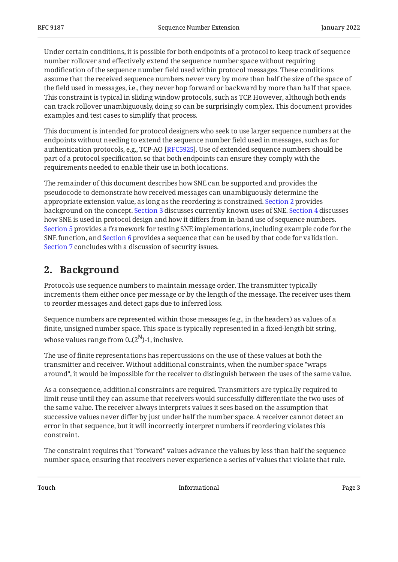Under certain conditions, it is possible for both endpoints of a protocol to keep track of sequence number rollover and effectively extend the sequence number space without requiring modification of the sequence number field used within protocol messages. These conditions assume that the received sequence numbers never vary by more than half the size of the space of the field used in messages, i.e., they never hop forward or backward by more than half that space. This constraint is typical in sliding window protocols, such as TCP. However, although both ends can track rollover unambiguously, doing so can be surprisingly complex. This document provides examples and test cases to simplify that process.

This document is intended for protocol designers who seek to use larger sequence numbers at the endpoints without needing to extend the sequence number field used in messages, such as for authentication protocols, e.g., TCP-AO [RFC5925]. Use of extended sequence numbers should be part of a protocol specification so that both endpoints can ensure they comply with the requirements needed to enable their use in both locations.

The remainder of this document describes how SNE can be supported and provides the pseudocode to demonstrate how received messages can unambiguously determine the appropriate extension value, as long as the reordering is constrained. [Section 2](#page-2-0) provides background on the concept. [Section 3](#page-4-0) discusses currently known uses of SNE. [Section 4](#page-4-1) discusses how SNE is used in protocol design and how it differs from in-band use of sequence numbers. [Section 5](#page-5-0) provides a framework for testing SNE implementations, including example code for the SNE function, and [Section 6](#page-8-0) provides a sequence that can be used by that code for validation. [Section 7](#page-8-1) concludes with a discussion of security issues.

#### <span id="page-2-0"></span>**[2. Background](#page-2-0)**

Protocols use sequence numbers to maintain message order. The transmitter typically increments them either once per message or by the length of the message. The receiver uses them to reorder messages and detect gaps due to inferred loss.

Sequence numbers are represented within those messages (e.g., in the headers) as values of a finite, unsigned number space. This space is typically represented in a fixed-length bit string, whose values range from  $0.(2^N)$ -1, inclusive.

The use of finite representations has repercussions on the use of these values at both the transmitter and receiver. Without additional constraints, when the number space "wraps around", it would be impossible for the receiver to distinguish between the uses of the same value.

As a consequence, additional constraints are required. Transmitters are typically required to limit reuse until they can assume that receivers would successfully differentiate the two uses of the same value. The receiver always interprets values it sees based on the assumption that successive values never differ by just under half the number space. A receiver cannot detect an error in that sequence, but it will incorrectly interpret numbers if reordering violates this constraint.

The constraint requires that "forward" values advance the values by less than half the sequence number space, ensuring that receivers never experience a series of values that violate that rule.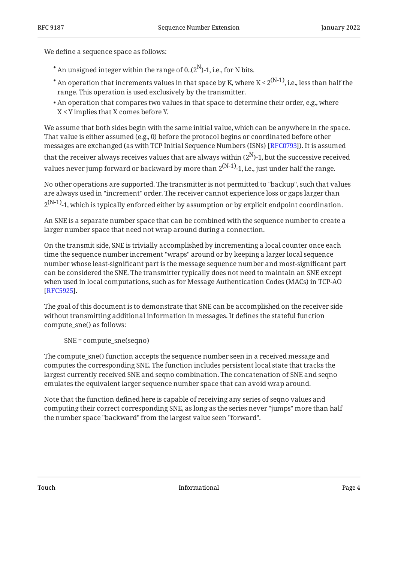We define a sequence space as follows:

- $^{\bullet}$  An unsigned integer within the range of 0..(2 $^{\textrm{N}}$ )-1, i.e., for N bits.
- $^{\bullet}$  An operation that increments values in that space by K, where K < 2 $^{\rm (N\text{-}1)}$ , i.e., less than half the range. This operation is used exclusively by the transmitter.
- $\bullet$  An operation that compares two values in that space to determine their order, e.g., where X < Y implies that X comes before Y.

We assume that both sides begin with the same initial value, which can be anywhere in the space. That value is either assumed (e.g., 0) before the protocol begins or coordinated before other messages are exchanged (as with TCP Initial Sequence Numbers (ISNs) [\[RFC0793\]](#page-9-5)). It is assumed that the receiver always receives values that are always within ( $2^{\rm N}$ )-1, but the successive received values never jump forward or backward by more than  $2^{(N-1)}$ -1, i.e., just under half the range.

No other operations are supported. The transmitter is not permitted to "backup", such that values are always used in "increment" order. The receiver cannot experience loss or gaps larger than  $2^{(N-1)}$ -1, which is typically enforced either by assumption or by explicit endpoint coordination.

An SNE is a separate number space that can be combined with the sequence number to create a larger number space that need not wrap around during a connection.

On the transmit side, SNE is trivially accomplished by incrementing a local counter once each time the sequence number increment "wraps" around or by keeping a larger local sequence number whose least-significant part is the message sequence number and most-significant part can be considered the SNE. The transmitter typically does not need to maintain an SNE except when used in local computations, such as for Message Authentication Codes (MACs) in TCP-AO . [[RFC5925\]](#page-9-4)

The goal of this document is to demonstrate that SNE can be accomplished on the receiver side without transmitting additional information in messages. It defines the stateful function compute\_sne() as follows:

SNE = compute\_sne(seqno)

The compute\_sne() function accepts the sequence number seen in a received message and computes the corresponding SNE. The function includes persistent local state that tracks the largest currently received SNE and seqno combination. The concatenation of SNE and seqno emulates the equivalent larger sequence number space that can avoid wrap around.

Note that the function defined here is capable of receiving any series of seqno values and computing their correct corresponding SNE, as long as the series never "jumps" more than half the number space "backward" from the largest value seen "forward".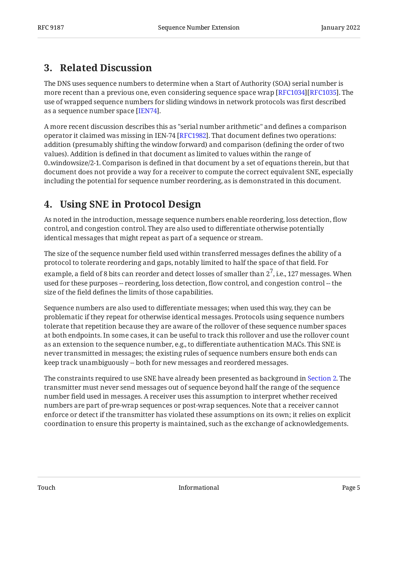#### <span id="page-4-0"></span>**[3. Related Discussion](#page-4-0)**

The DNS uses sequence numbers to determine when a Start of Authority (SOA) serial number is more recent than a previous one, even considering sequence space wrap [RFC1034][RFC1035]. The  $\,$ use of wrapped sequence numbers for sliding windows in network protocols was first described as a sequence number space [IEN74].

A more recent discussion describes this as "serial number arithmetic" and defines a comparison operator it claimed was missing in IEN-74 [ $\rm{RFC1982]}$ . That document defines two operations: addition (presumably shifting the window forward) and comparison (defining the order of two values). Addition is defined in that document as limited to values within the range of 0..windowsize/2-1. Comparison is defined in that document by a set of equations therein, but that document does not provide a way for a receiver to compute the correct equivalent SNE, especially including the potential for sequence number reordering, as is demonstrated in this document.

### <span id="page-4-1"></span>**[4. Using SNE in Protocol Design](#page-4-1)**

As noted in the introduction, message sequence numbers enable reordering, loss detection, flow control, and congestion control. They are also used to differentiate otherwise potentially identical messages that might repeat as part of a sequence or stream.

The size of the sequence number field used within transferred messages defines the ability of a protocol to tolerate reordering and gaps, notably limited to half the space of that field. For

example, a field of 8 bits can reorder and detect losses of smaller than  $2^7$ , i.e., 127 messages. When used for these purposes -- reordering, loss detection, flow control, and congestion control -- the size of the field defines the limits of those capabilities.

Sequence numbers are also used to differentiate messages; when used this way, they can be problematic if they repeat for otherwise identical messages. Protocols using sequence numbers tolerate that repetition because they are aware of the rollover of these sequence number spaces at both endpoints. In some cases, it can be useful to track this rollover and use the rollover count as an extension to the sequence number, e.g., to differentiate authentication MACs. This SNE is never transmitted in messages; the existing rules of sequence numbers ensure both ends can keep track unambiguously -- both for new messages and reordered messages.

The constraints required to use SNE have already been presented as background in [Section 2](#page-2-0). The transmitter must never send messages out of sequence beyond half the range of the sequence number field used in messages. A receiver uses this assumption to interpret whether received numbers are part of pre-wrap sequences or post-wrap sequences. Note that a receiver cannot enforce or detect if the transmitter has violated these assumptions on its own; it relies on explicit coordination to ensure this property is maintained, such as the exchange of acknowledgements.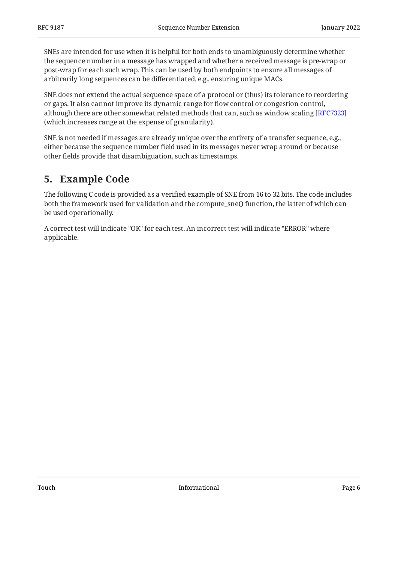SNEs are intended for use when it is helpful for both ends to unambiguously determine whether the sequence number in a message has wrapped and whether a received message is pre-wrap or post-wrap for each such wrap. This can be used by both endpoints to ensure all messages of arbitrarily long sequences can be differentiated, e.g., ensuring unique MACs.

SNE does not extend the actual sequence space of a protocol or (thus) its tolerance to reordering or gaps. It also cannot improve its dynamic range for flow control or congestion control, although there are other somewhat related methods that can, such as window scaling [\[RFC7323](#page-9-10)] (which increases range at the expense of granularity).

SNE is not needed if messages are already unique over the entirety of a transfer sequence, e.g., either because the sequence number field used in its messages never wrap around or because other fields provide that disambiguation, such as timestamps.

### <span id="page-5-0"></span>**[5. Example Code](#page-5-0)**

The following C code is provided as a verified example of SNE from 16 to 32 bits. The code includes both the framework used for validation and the compute\_sne() function, the latter of which can be used operationally.

A correct test will indicate "OK" for each test. An incorrect test will indicate "ERROR" where applicable.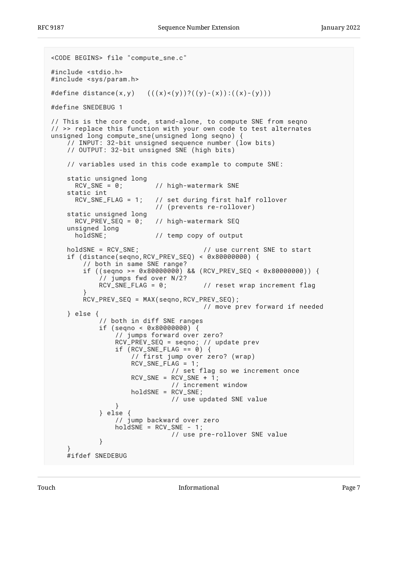```
<CODE BEGINS> file "compute_sne.c"
#include <stdio.h>
#include <sys/param.h>
#define distance(x,y) ((x) < (y))?((y) - (x)) : ((x) - (y))#define SNEDEBUG 1
// This is the core code, stand-alone, to compute SNE from seqno
// >> replace this function with your own code to test alternates
unsigned long compute_sne(unsigned long seqno) {
     // INPUT: 32-bit unsigned sequence number (low bits)
     // OUTPUT: 32-bit unsigned SNE (high bits)
     // variables used in this code example to compute SNE:
    static unsigned long<br>RCV\_SNE = 0:
                          // high-watermark SNE
     static int
       RCV_SNE_FLAG = 1; // set during first half rollover
                           // (prevents re-rollover)
    static unsigned long<br>RCV_PREV_SEQ = 0:
                          // high-watermark SEQ
     unsigned long
       holdSNE; // temp copy of output
    holdSNE = RCV_SNE; \frac{1}{2} // use current SNE to start
     if (distance(seqno,RCV_PREV_SEQ) < 0x80000000) {
         // both in same SNE range?
         if ((seqno >= 0x80000000) && (RCV_PREV_SEQ < 0x80000000)) {
            1/7 jumps fwd over N/2?<br>RCV_SNE_FLAG = 0;
                                      // reset wrap increment flag
 }
         RCV_PREV_SEQ = MAX(seqno,RCV_PREV_SEQ);
                                       // move prev forward if needed
     } else {
             // both in diff SNE ranges
            if (seqno < 0 \times 80000000) {
                 // jumps forward over zero?
                 RCV_PREV_SEQ = seqno; // update prev
                if (RCV_SNE_FLAG == 0) // first jump over zero? (wrap)
RCV_SNE_FLAG = 1;
 // set flag so we increment once
                    RCV_SNE = RCV_SNE + 1;
                               // increment window
                     holdSNE = RCV_SNE;
                               // use updated SNE value
 }
             } else {
                 // jump backward over zero
                holdsNE = RCV_SNE - 1; // use pre-rollover SNE value
 }
 }
     #ifdef SNEDEBUG
```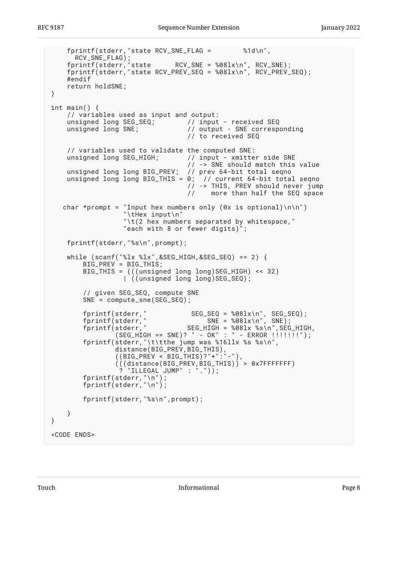```
 fprintf(stderr,"state RCV_SNE_FLAG = %1d\n",
 RCV_SNE_FLAG);
 fprintf(stderr,"state RCV_SNE = %08lx\n", RCV_SNE);
 fprintf(stderr,"state RCV_PREV_SEQ = %08lx\n", RCV_PREV_SEQ);
    #endif
    return holdSNE;
}
int main() {
    // variables used as input and output:
   unsigned long SEG_SEQ; \frac{1}{2} // input - received SEQ
    unsigned long SNE; // output - SNE corresponding
                               // to received SEQ
    // variables used to validate the computed SNE:
 unsigned long SEG_HIGH; // input - xmitter side SNE
 // -> SNE should match this value
    unsigned long long BIG_PREV; // prev 64-bit total seqno
   unsigned long long BIG_THIS = 0; // current 64-bit total seqno
                               // -> THIS, PREV should never jump
                                // more than half the SEQ space
  char *prompt = "Input hex numbers only (0x is optional)\n\n")
                 "\tHex input\n"
                 "\t(2 hex numbers separated by whitespace,"
                 "each with 8 or fewer digits)";
    fprintf(stderr,"%s\n",prompt);
   while (scanf("%lx %lx", &SEG_HIGH, &SEG_SEQ) == 2) {
        BIG_PREV = BIG_THIS;
        BIG_THIS = (((unsigned long long)SEG_HIGH) << 32)
                |\cdot| (unsigned long long)SEG_SEQ);
        // given SEG_SEQ, compute SNE
        SNE = compute_sne(SEG_SEQ);
 fprintf(stderr," SEG_SEQ = %08lx\n", SEG_SEQ);
 fprintf(stderr," SNE = %08lx\n", SNE);
 fprintf(stderr," SEG_HIGH = %08lx %s\n",SEG_HIGH,
 (SEG_HIGH == SNE)? " - OK" : " - ERROR !!!!!!!");
        fprintf(stderr,"\t\tthe jump was %16llx %s %s\n",
 distance(BIG_PREV,BIG_THIS),
 ((BIG_PREV < BIG_THIS)?"+":"-"),
 (((distance(BIG_PREV,BIG_THIS)) > 0x7FFFFFFF)
 ? "ILLEGAL JUMP" : "."));
 fprintf(stderr,"\n");
 fprintf(stderr,"\n");
        fprintf(stderr,"%s\n",prompt);
    }
}
<CODE ENDS>
```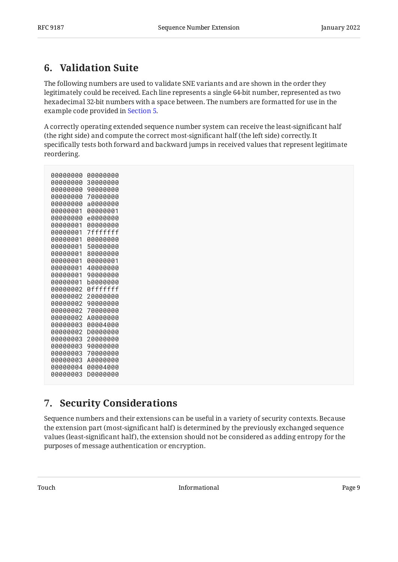### <span id="page-8-0"></span>**[6. Validation Suite](#page-8-0)**

The following numbers are used to validate SNE variants and are shown in the order they legitimately could be received. Each line represents a single 64-bit number, represented as two hexadecimal 32-bit numbers with a space between. The numbers are formatted for use in the example code provided in [Section 5.](#page-5-0)

A correctly operating extended sequence number system can receive the least-significant half (the right side) and compute the correct most-significant half (the left side) correctly. It specifically tests both forward and backward jumps in received values that represent legitimate reordering.

| 00000000             | AAAAAAAA             |
|----------------------|----------------------|
| 00000000             | 30000000             |
| 00000000             | 90000000             |
| 00000000             | 70000000             |
| 00000000             | a0000000             |
| 00000001             | 00000001             |
| 00000000             | e0000000             |
| 00000001             | 00000000             |
| 00000001             | 7fffffff             |
| 00000001             | 00000000             |
| 00000001             | 50000000             |
| 00000001             | 80000000             |
| 00000001             | 00000001             |
| 00000001             | 40000000             |
| 00000001             | 90000000             |
| 00000001             | b0000000             |
| 00000002             | 0fffffff             |
| 00000002             | 20000000             |
| 00000002             | 90000000             |
| 00000002             | 70000000             |
| 00000002             | A0000000             |
| 00000003             | 00004000             |
| 00000002<br>00000003 | D0000000<br>20000000 |
| 00000003             | 90000000             |
| 00000003             | 70000000             |
| 00000003             | A0000000             |
| 00000004             | 00004000             |
| 00000003             | DAAAAAAA             |
|                      |                      |

#### <span id="page-8-1"></span>**[7. Security Considerations](#page-8-1)**

Sequence numbers and their extensions can be useful in a variety of security contexts. Because the extension part (most-significant half) is determined by the previously exchanged sequence values (least-significant half), the extension should not be considered as adding entropy for the purposes of message authentication or encryption.